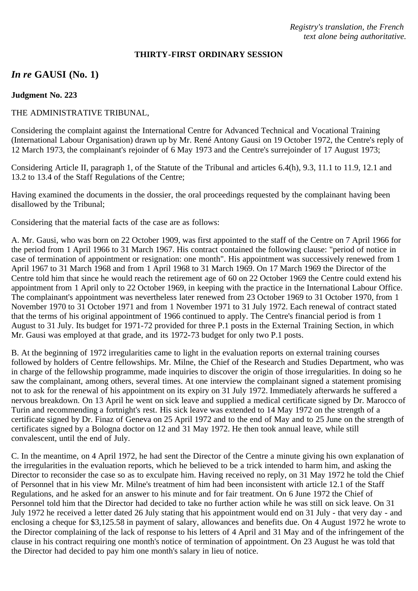## **THIRTY-FIRST ORDINARY SESSION**

# *In re* **GAUSI (No. 1)**

#### **Judgment No. 223**

### THE ADMINISTRATIVE TRIBUNAL,

Considering the complaint against the International Centre for Advanced Technical and Vocational Training (International Labour Organisation) drawn up by Mr. René Antony Gausi on 19 October 1972, the Centre's reply of 12 March 1973, the complainant's rejoinder of 6 May 1973 and the Centre's surrejoinder of 17 August 1973;

Considering Article II, paragraph 1, of the Statute of the Tribunal and articles 6.4(h), 9.3, 11.1 to 11.9, 12.1 and 13.2 to 13.4 of the Staff Regulations of the Centre;

Having examined the documents in the dossier, the oral proceedings requested by the complainant having been disallowed by the Tribunal;

Considering that the material facts of the case are as follows:

A. Mr. Gausi, who was born on 22 October 1909, was first appointed to the staff of the Centre on 7 April 1966 for the period from 1 April 1966 to 31 March 1967. His contract contained the following clause: "period of notice in case of termination of appointment or resignation: one month". His appointment was successively renewed from 1 April 1967 to 31 March 1968 and from 1 April 1968 to 31 March 1969. On 17 March 1969 the Director of the Centre told him that since he would reach the retirement age of 60 on 22 October 1969 the Centre could extend his appointment from 1 April only to 22 October 1969, in keeping with the practice in the International Labour Office. The complainant's appointment was nevertheless later renewed from 23 October 1969 to 31 October 1970, from 1 November 1970 to 31 October 1971 and from 1 November 1971 to 31 July 1972. Each renewal of contract stated that the terms of his original appointment of 1966 continued to apply. The Centre's financial period is from 1 August to 31 July. Its budget for 1971-72 provided for three P.1 posts in the External Training Section, in which Mr. Gausi was employed at that grade, and its 1972-73 budget for only two P.1 posts.

B. At the beginning of 1972 irregularities came to light in the evaluation reports on external training courses followed by holders of Centre fellowships. Mr. Milne, the Chief of the Research and Studies Department, who was in charge of the fellowship programme, made inquiries to discover the origin of those irregularities. In doing so he saw the complainant, among others, several times. At one interview the complainant signed a statement promising not to ask for the renewal of his appointment on its expiry on 31 July 1972. Immediately afterwards he suffered a nervous breakdown. On 13 April he went on sick leave and supplied a medical certificate signed by Dr. Marocco of Turin and recommending a fortnight's rest. His sick leave was extended to 14 May 1972 on the strength of a certificate signed by Dr. Finaz of Geneva on 25 April 1972 and to the end of May and to 25 June on the strength of certificates signed by a Bologna doctor on 12 and 31 May 1972. He then took annual leave, while still convalescent, until the end of July.

C. In the meantime, on 4 April 1972, he had sent the Director of the Centre a minute giving his own explanation of the irregularities in the evaluation reports, which he believed to be a trick intended to harm him, and asking the Director to reconsider the case so as to exculpate him. Having received no reply, on 31 May 1972 he told the Chief of Personnel that in his view Mr. Milne's treatment of him had been inconsistent with article 12.1 of the Staff Regulations, and he asked for an answer to his minute and for fair treatment. On 6 June 1972 the Chief of Personnel told him that the Director had decided to take no further action while he was still on sick leave. On 31 July 1972 he received a letter dated 26 July stating that his appointment would end on 31 July - that very day - and enclosing a cheque for \$3,125.58 in payment of salary, allowances and benefits due. On 4 August 1972 he wrote to the Director complaining of the lack of response to his letters of 4 April and 31 May and of the infringement of the clause in his contract requiring one month's notice of termination of appointment. On 23 August he was told that the Director had decided to pay him one month's salary in lieu of notice.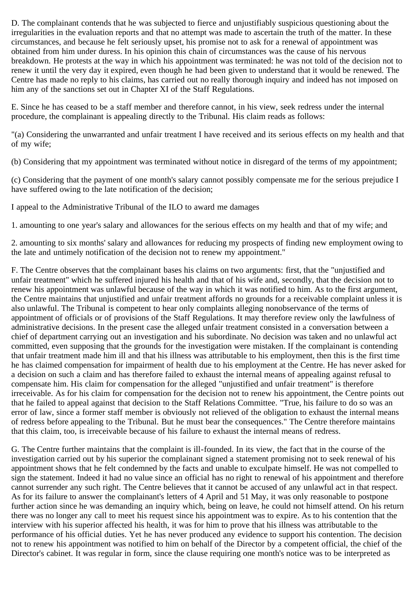D. The complainant contends that he was subjected to fierce and unjustifiably suspicious questioning about the irregularities in the evaluation reports and that no attempt was made to ascertain the truth of the matter. In these circumstances, and because he felt seriously upset, his promise not to ask for a renewal of appointment was obtained from him under duress. In his opinion this chain of circumstances was the cause of his nervous breakdown. He protests at the way in which his appointment was terminated: he was not told of the decision not to renew it until the very day it expired, even though he had been given to understand that it would be renewed. The Centre has made no reply to his claims, has carried out no really thorough inquiry and indeed has not imposed on him any of the sanctions set out in Chapter XI of the Staff Regulations.

E. Since he has ceased to be a staff member and therefore cannot, in his view, seek redress under the internal procedure, the complainant is appealing directly to the Tribunal. His claim reads as follows:

"(a) Considering the unwarranted and unfair treatment I have received and its serious effects on my health and that of my wife;

(b) Considering that my appointment was terminated without notice in disregard of the terms of my appointment;

(c) Considering that the payment of one month's salary cannot possibly compensate me for the serious prejudice I have suffered owing to the late notification of the decision;

I appeal to the Administrative Tribunal of the ILO to award me damages

1. amounting to one year's salary and allowances for the serious effects on my health and that of my wife; and

2. amounting to six months' salary and allowances for reducing my prospects of finding new employment owing to the late and untimely notification of the decision not to renew my appointment."

F. The Centre observes that the complainant bases his claims on two arguments: first, that the "unjustified and unfair treatment" which he suffered injured his health and that of his wife and, secondly, that the decision not to renew his appointment was unlawful because of the way in which it was notified to him. As to the first argument, the Centre maintains that unjustified and unfair treatment affords no grounds for a receivable complaint unless it is also unlawful. The Tribunal is competent to hear only complaints alleging nonobservance of the terms of appointment of officials or of provisions of the Staff Regulations. It may therefore review only the lawfulness of administrative decisions. In the present case the alleged unfair treatment consisted in a conversation between a chief of department carrying out an investigation and his subordinate. No decision was taken and no unlawful act committed, even supposing that the grounds for the investigation were mistaken. If the complainant is contending that unfair treatment made him ill and that his illness was attributable to his employment, then this is the first time he has claimed compensation for impairment of health due to his employment at the Centre. He has never asked for a decision on such a claim and has therefore failed to exhaust the internal means of appealing against refusal to compensate him. His claim for compensation for the alleged "unjustified and unfair treatment" is therefore irreceivable. As for his claim for compensation for the decision not to renew his appointment, the Centre points out that he failed to appeal against that decision to the Staff Relations Committee. "True, his failure to do so was an error of law, since a former staff member is obviously not relieved of the obligation to exhaust the internal means of redress before appealing to the Tribunal. But he must bear the consequences." The Centre therefore maintains that this claim, too, is irreceivable because of his failure to exhaust the internal means of redress.

G. The Centre further maintains that the complaint is ill-founded. In its view, the fact that in the course of the investigation carried out by his superior the complainant signed a statement promising not to seek renewal of his appointment shows that he felt condemned by the facts and unable to exculpate himself. He was not compelled to sign the statement. Indeed it had no value since an official has no right to renewal of his appointment and therefore cannot surrender any such right. The Centre believes that it cannot be accused of any unlawful act in that respect. As for its failure to answer the complainant's letters of 4 April and 51 May, it was only reasonable to postpone further action since he was demanding an inquiry which, being on leave, he could not himself attend. On his return there was no longer any call to meet his request since his appointment was to expire. As to his contention that the interview with his superior affected his health, it was for him to prove that his illness was attributable to the performance of his official duties. Yet he has never produced any evidence to support his contention. The decision not to renew his appointment was notified to him on behalf of the Director by a competent official, the chief of the Director's cabinet. It was regular in form, since the clause requiring one month's notice was to be interpreted as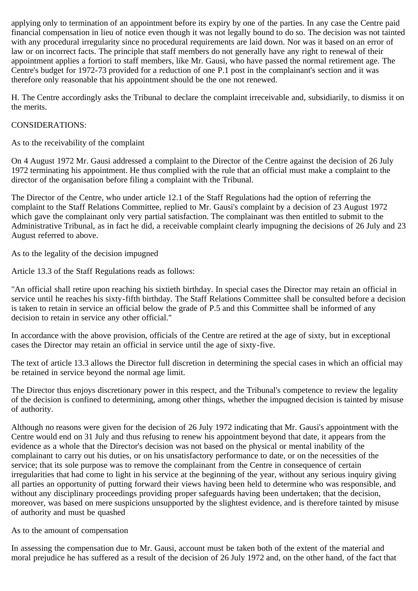applying only to termination of an appointment before its expiry by one of the parties. In any case the Centre paid financial compensation in lieu of notice even though it was not legally bound to do so. The decision was not tainted with any procedural irregularity since no procedural requirements are laid down. Nor was it based on an error of law or on incorrect facts. The principle that staff members do not generally have any right to renewal of their appointment applies a fortiori to staff members, like Mr. Gausi, who have passed the normal retirement age. The Centre's budget for 1972-73 provided for a reduction of one P.1 post in the complainant's section and it was therefore only reasonable that his appointment should be the one not renewed.

H. The Centre accordingly asks the Tribunal to declare the complaint irreceivable and, subsidiarily, to dismiss it on the merits.

## CONSIDERATIONS:

As to the receivability of the complaint

On 4 August 1972 Mr. Gausi addressed a complaint to the Director of the Centre against the decision of 26 July 1972 terminating his appointment. He thus complied with the rule that an official must make a complaint to the director of the organisation before filing a complaint with the Tribunal.

The Director of the Centre, who under article 12.1 of the Staff Regulations had the option of referring the complaint to the Staff Relations Committee, replied to Mr. Gausi's complaint by a decision of 23 August 1972 which gave the complainant only very partial satisfaction. The complainant was then entitled to submit to the Administrative Tribunal, as in fact he did, a receivable complaint clearly impugning the decisions of 26 July and 23 August referred to above.

As to the legality of the decision impugned

Article 13.3 of the Staff Regulations reads as follows:

"An official shall retire upon reaching his sixtieth birthday. In special cases the Director may retain an official in service until he reaches his sixty-fifth birthday. The Staff Relations Committee shall be consulted before a decision is taken to retain in service an official below the grade of P.5 and this Committee shall be informed of any decision to retain in service any other official."

In accordance with the above provision, officials of the Centre are retired at the age of sixty, but in exceptional cases the Director may retain an official in service until the age of sixty-five.

The text of article 13.3 allows the Director full discretion in determining the special cases in which an official may be retained in service beyond the normal age limit.

The Director thus enjoys discretionary power in this respect, and the Tribunal's competence to review the legality of the decision is confined to determining, among other things, whether the impugned decision is tainted by misuse of authority.

Although no reasons were given for the decision of 26 July 1972 indicating that Mr. Gausi's appointment with the Centre would end on 31 July and thus refusing to renew his appointment beyond that date, it appears from the evidence as a whole that the Director's decision was not based on the physical or mental inability of the complainant to carry out his duties, or on his unsatisfactory performance to date, or on the necessities of the service; that its sole purpose was to remove the complainant from the Centre in consequence of certain irregularities that had come to light in his service at the beginning of the year, without any serious inquiry giving all parties an opportunity of putting forward their views having been held to determine who was responsible, and without any disciplinary proceedings providing proper safeguards having been undertaken; that the decision, moreover, was based on mere suspicions unsupported by the slightest evidence, and is therefore tainted by misuse of authority and must be quashed

#### As to the amount of compensation

In assessing the compensation due to Mr. Gausi, account must be taken both of the extent of the material and moral prejudice he has suffered as a result of the decision of 26 July 1972 and, on the other hand, of the fact that